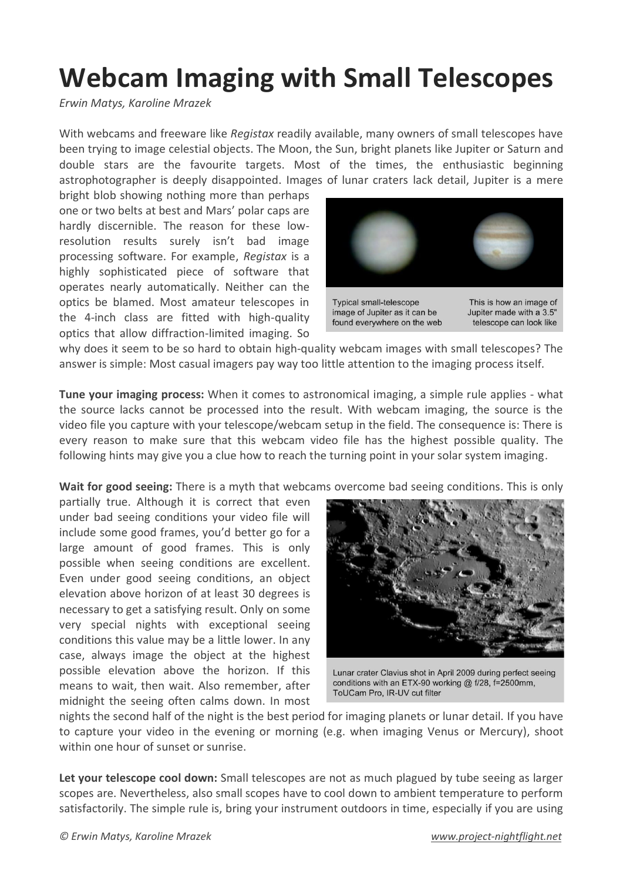## **Webcam Imaging with Small Telescopes**

*Erwin Matys, Karoline Mrazek*

With webcams and freeware like *Registax* readily available, many owners of small telescopes have been trying to image celestial objects. The Moon, the Sun, bright planets like Jupiter or Saturn and double stars are the favourite targets. Most of the times, the enthusiastic beginning astrophotographer is deeply disappointed. Images of lunar craters lack detail, Jupiter is a mere

bright blob showing nothing more than perhaps one or two belts at best and Mars' polar caps are hardly discernible. The reason for these lowresolution results surely isn't bad image processing software. For example, *Registax* is a highly sophisticated piece of software that operates nearly automatically. Neither can the optics be blamed. Most amateur telescopes in the 4-inch class are fitted with high-quality optics that allow diffraction-limited imaging. So



why does it seem to be so hard to obtain high-quality webcam images with small telescopes? The answer is simple: Most casual imagers pay way too little attention to the imaging process itself.

**Tune your imaging process:** When it comes to astronomical imaging, a simple rule applies - what the source lacks cannot be processed into the result. With webcam imaging, the source is the video file you capture with your telescope/webcam setup in the field. The consequence is: There is every reason to make sure that this webcam video file has the highest possible quality. The following hints may give you a clue how to reach the turning point in your solar system imaging.

**Wait for good seeing:** There is a myth that webcams overcome bad seeing conditions. This is only

partially true. Although it is correct that even under bad seeing conditions your video file will include some good frames, you'd better go for a large amount of good frames. This is only possible when seeing conditions are excellent. Even under good seeing conditions, an object elevation above horizon of at least 30 degrees is necessary to get a satisfying result. Only on some very special nights with exceptional seeing conditions this value may be a little lower. In any case, always image the object at the highest possible elevation above the horizon. If this means to wait, then wait. Also remember, after midnight the seeing often calms down. In most



Lunar crater Clavius shot in April 2009 during perfect seeing conditions with an ETX-90 working @ f/28, f=2500mm, ToUCam Pro, IR-UV cut filter

nights the second half of the night is the best period for imaging planets or lunar detail. If you have to capture your video in the evening or morning (e.g. when imaging Venus or Mercury), shoot within one hour of sunset or sunrise.

**Let your telescope cool down:** Small telescopes are not as much plagued by tube seeing as larger scopes are. Nevertheless, also small scopes have to cool down to ambient temperature to perform satisfactorily. The simple rule is, bring your instrument outdoors in time, especially if you are using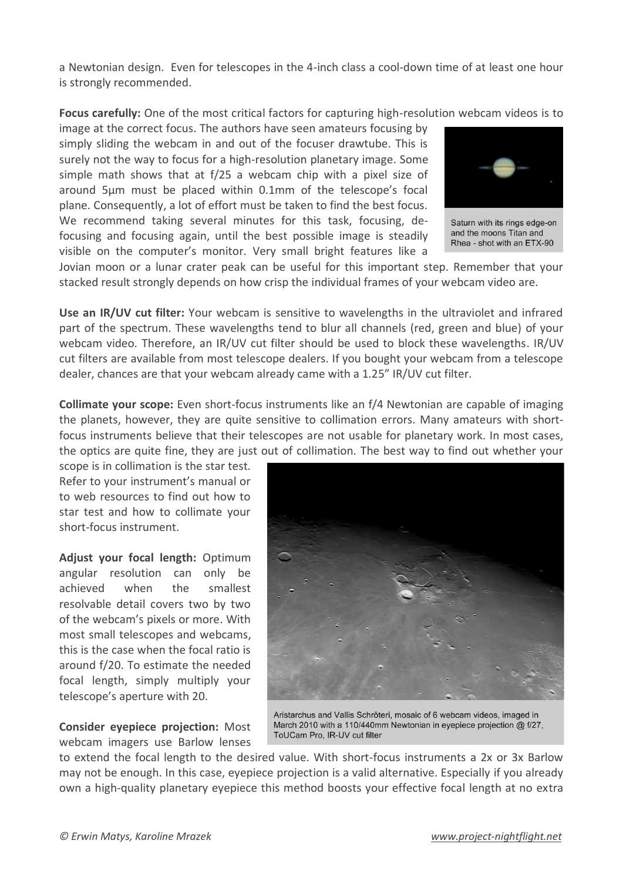a Newtonian design. Even for telescopes in the 4-inch class a cool-down time of at least one hour is strongly recommended.

**Focus carefully:** One of the most critical factors for capturing high-resolution webcam videos is to

image at the correct focus. The authors have seen amateurs focusing by simply sliding the webcam in and out of the focuser drawtube. This is surely not the way to focus for a high-resolution planetary image. Some simple math shows that at f/25 a webcam chip with a pixel size of around 5µm must be placed within 0.1mm of the telescope's focal plane. Consequently, a lot of effort must be taken to find the best focus. We recommend taking several minutes for this task, focusing, defocusing and focusing again, until the best possible image is steadily visible on the computer's monitor. Very small bright features like a



Saturn with its rings edge-on and the moons Titan and Rhea - shot with an ETX-90

Jovian moon or a lunar crater peak can be useful for this important step. Remember that your stacked result strongly depends on how crisp the individual frames of your webcam video are.

**Use an IR/UV cut filter:** Your webcam is sensitive to wavelengths in the ultraviolet and infrared part of the spectrum. These wavelengths tend to blur all channels (red, green and blue) of your webcam video. Therefore, an IR/UV cut filter should be used to block these wavelengths. IR/UV cut filters are available from most telescope dealers. If you bought your webcam from a telescope dealer, chances are that your webcam already came with a 1.25" IR/UV cut filter.

**Collimate your scope:** Even short-focus instruments like an f/4 Newtonian are capable of imaging the planets, however, they are quite sensitive to collimation errors. Many amateurs with shortfocus instruments believe that their telescopes are not usable for planetary work. In most cases, the optics are quite fine, they are just out of collimation. The best way to find out whether your

scope is in collimation is the star test. Refer to your instrument's manual or to web resources to find out how to star test and how to collimate your short-focus instrument.

**Adjust your focal length:** Optimum angular resolution can only be achieved when the smallest resolvable detail covers two by two of the webcam's pixels or more. With most small telescopes and webcams, this is the case when the focal ratio is around f/20. To estimate the needed focal length, simply multiply your telescope's aperture with 20.

**Consider eyepiece projection:** Most webcam imagers use Barlow lenses



Aristarchus and Vallis Schröteri, mosaic of 6 webcam videos, imaged in March 2010 with a 110/440mm Newtonian in eyepiece projection @ f/27, ToUCam Pro, IR-UV cut filter

to extend the focal length to the desired value. With short-focus instruments a 2x or 3x Barlow may not be enough. In this case, eyepiece projection is a valid alternative. Especially if you already own a high-quality planetary eyepiece this method boosts your effective focal length at no extra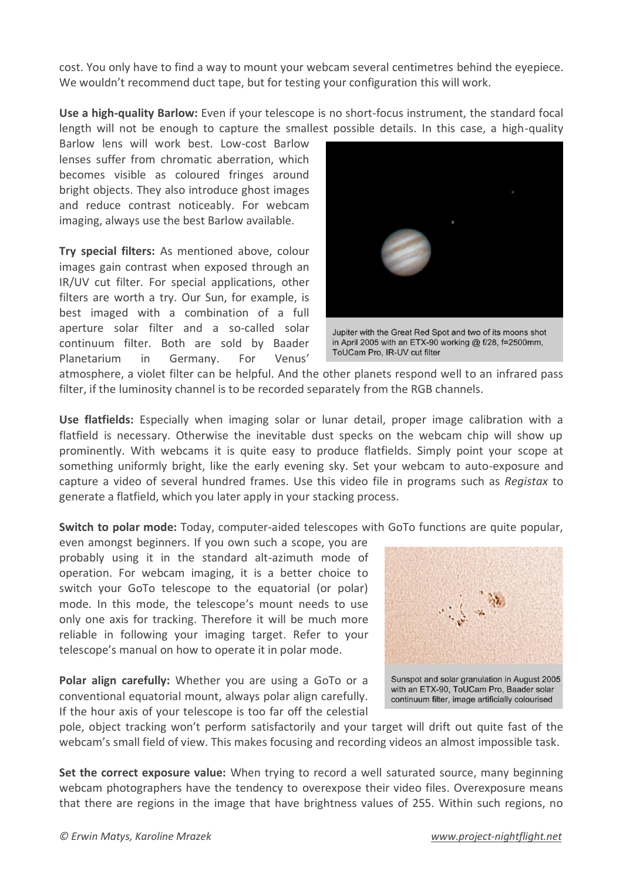cost. You only have to find a way to mount your webcam several centimetres behind the eyepiece. We wouldn't recommend duct tape, but for testing your configuration this will work.

**Use a high-quality Barlow:** Even if your telescope is no short-focus instrument, the standard focal length will not be enough to capture the smallest possible details. In this case, a high-quality

Barlow lens will work best. Low-cost Barlow lenses suffer from chromatic aberration, which becomes visible as coloured fringes around bright objects. They also introduce ghost images and reduce contrast noticeably. For webcam imaging, always use the best Barlow available.

**Try special filters:** As mentioned above, colour images gain contrast when exposed through an IR/UV cut filter. For special applications, other filters are worth a try. Our Sun, for example, is best imaged with a combination of a full aperture solar filter and a so-called solar continuum filter. Both are sold by Baader Planetarium in Germany. For Venus'



Jupiter with the Great Red Spot and two of its moons shot in April 2005 with an ETX-90 working @ f/28, f=2500mm, ToUCam Pro. IR-UV cut filter

atmosphere, a violet filter can be helpful. And the other planets respond well to an infrared pass filter, if the luminosity channel is to be recorded separately from the RGB channels.

**Use flatfields:** Especially when imaging solar or lunar detail, proper image calibration with a flatfield is necessary. Otherwise the inevitable dust specks on the webcam chip will show up prominently. With webcams it is quite easy to produce flatfields. Simply point your scope at something uniformly bright, like the early evening sky. Set your webcam to auto-exposure and capture a video of several hundred frames. Use this video file in programs such as *Registax* to generate a flatfield, which you later apply in your stacking process.

**Switch to polar mode:** Today, computer-aided telescopes with GoTo functions are quite popular,

even amongst beginners. If you own such a scope, you are probably using it in the standard alt-azimuth mode of operation. For webcam imaging, it is a better choice to switch your GoTo telescope to the equatorial (or polar) mode. In this mode, the telescope's mount needs to use only one axis for tracking. Therefore it will be much more reliable in following your imaging target. Refer to your telescope's manual on how to operate it in polar mode.

**Polar align carefully:** Whether you are using a GoTo or a conventional equatorial mount, always polar align carefully. If the hour axis of your telescope is too far off the celestial



with an ETX-90, ToUCam Pro, Baader solar continuum filter, image artificially colourised

pole, object tracking won't perform satisfactorily and your target will drift out quite fast of the webcam's small field of view. This makes focusing and recording videos an almost impossible task.

**Set the correct exposure value:** When trying to record a well saturated source, many beginning webcam photographers have the tendency to overexpose their video files. Overexposure means that there are regions in the image that have brightness values of 255. Within such regions, no